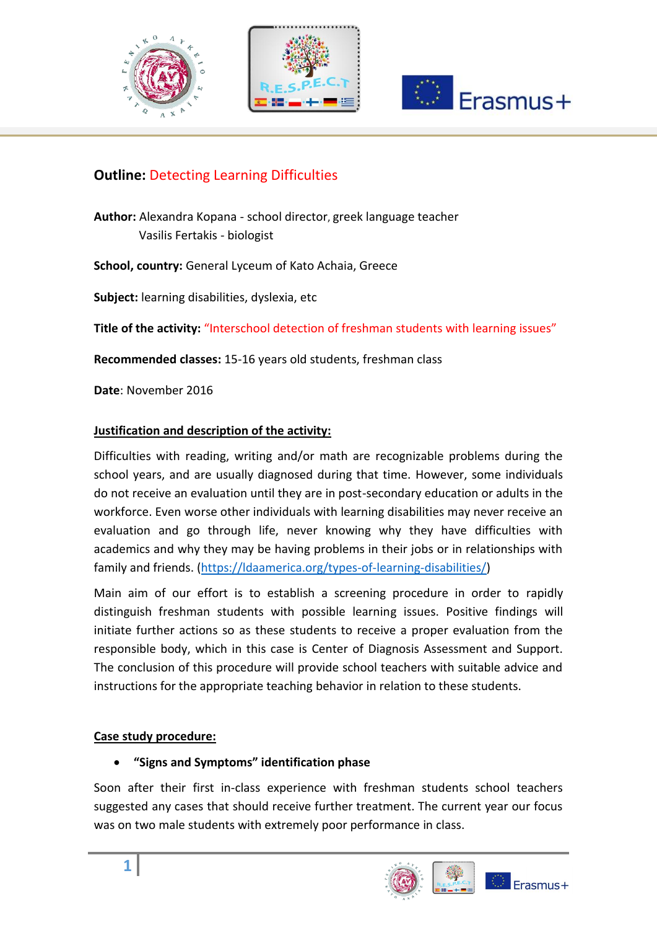





# **Outline:** Detecting Learning Difficulties

**Author:** Alexandra Kopana - school director, greek language teacher Vasilis Fertakis - biologist

**School, country:** General Lyceum of Kato Achaia, Greece

**Subject:** learning disabilities, dyslexia, etc

**Title of the activity:** "Interschool detection of freshman students with learning issues"

**Recommended classes:** 15-16 years old students, freshman class

**Date**: November 2016

#### **Justification and description of the activity:**

Difficulties with reading, writing and/or math are recognizable problems during the school years, and are usually diagnosed during that time. However, some individuals do not receive an evaluation until they are in post-secondary education or adults in the workforce. Even worse other individuals with learning disabilities may never receive an evaluation and go through life, never knowing why they have difficulties with academics and why they may be having problems in their jobs or in relationships with family and friends. [\(https://ldaamerica.org/types-of-learning-disabilities/\)](https://ldaamerica.org/types-of-learning-disabilities/)

Main aim of our effort is to establish a screening procedure in order to rapidly distinguish freshman students with possible learning issues. Positive findings will initiate further actions so as these students to receive a proper evaluation from the responsible body, which in this case is Center of Diagnosis Assessment and Support. The conclusion of this procedure will provide school teachers with suitable advice and instructions for the appropriate teaching behavior in relation to these students.

#### **Case study procedure:**

**"Signs and Symptoms" identification phase** 

Soon after their first in-class experience with freshman students school teachers suggested any cases that should receive further treatment. The current year our focus was on two male students with extremely poor performance in class.